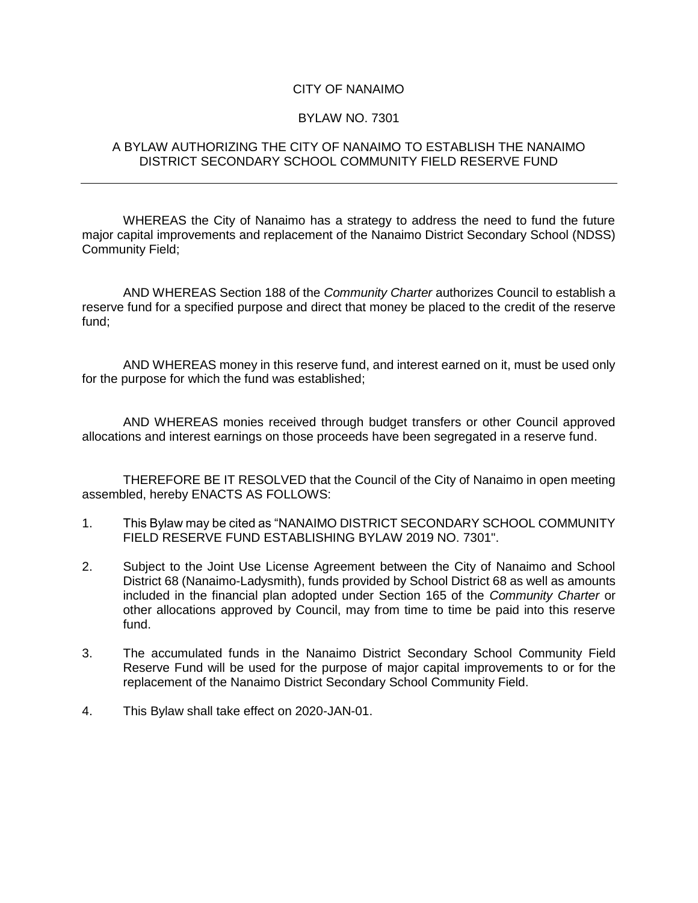## CITY OF NANAIMO

## BYLAW NO. 7301

## A BYLAW AUTHORIZING THE CITY OF NANAIMO TO ESTABLISH THE NANAIMO DISTRICT SECONDARY SCHOOL COMMUNITY FIELD RESERVE FUND

WHEREAS the City of Nanaimo has a strategy to address the need to fund the future major capital improvements and replacement of the Nanaimo District Secondary School (NDSS) Community Field;

AND WHEREAS Section 188 of the *Community Charter* authorizes Council to establish a reserve fund for a specified purpose and direct that money be placed to the credit of the reserve fund;

AND WHEREAS money in this reserve fund, and interest earned on it, must be used only for the purpose for which the fund was established;

AND WHEREAS monies received through budget transfers or other Council approved allocations and interest earnings on those proceeds have been segregated in a reserve fund.

THEREFORE BE IT RESOLVED that the Council of the City of Nanaimo in open meeting assembled, hereby ENACTS AS FOLLOWS:

- 1. This Bylaw may be cited as "NANAIMO DISTRICT SECONDARY SCHOOL COMMUNITY FIELD RESERVE FUND ESTABLISHING BYLAW 2019 NO. 7301".
- 2. Subject to the Joint Use License Agreement between the City of Nanaimo and School District 68 (Nanaimo-Ladysmith), funds provided by School District 68 as well as amounts included in the financial plan adopted under Section 165 of the *Community Charter* or other allocations approved by Council, may from time to time be paid into this reserve fund.
- 3. The accumulated funds in the Nanaimo District Secondary School Community Field Reserve Fund will be used for the purpose of major capital improvements to or for the replacement of the Nanaimo District Secondary School Community Field.
- 4. This Bylaw shall take effect on 2020-JAN-01.